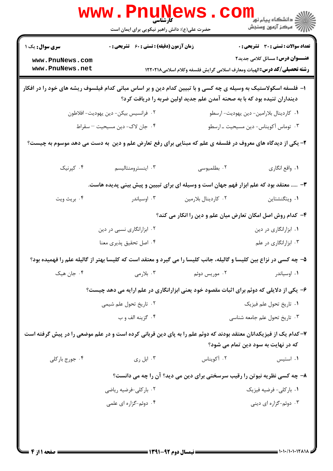|                                                                                                                                                                                            | <b>www.PnuN</b><br>حضرت علی(ع): دانش راهبر نیکویی برای ایمان است                                                   |                     | ر دانشڪاه پيام نور ■<br>// مرکز آزمون وسنڊش                                                                               |  |  |
|--------------------------------------------------------------------------------------------------------------------------------------------------------------------------------------------|--------------------------------------------------------------------------------------------------------------------|---------------------|---------------------------------------------------------------------------------------------------------------------------|--|--|
| <b>سری سوال :</b> یک ۱                                                                                                                                                                     | <b>زمان آزمون (دقیقه) : تستی : 60 ٪ تشریحی : 0</b>                                                                 |                     | <b>تعداد سوالات : تستی : 30 ٪ تشریحی : 0</b>                                                                              |  |  |
| www.PnuNews.com<br>www.PnuNews.net                                                                                                                                                         |                                                                                                                    |                     | <b>عنـــوان درس:</b> مسائل کلامی جدید۲<br><b>رشته تحصیلی/کد درس:</b> الهیات ومعارف اسلامی گرایش فلسفه وکلام اسلامی۱۲۲۰۲۱۸ |  |  |
| ا– فلسفه اسکولاستیک به وسیله ی چه کسی و با تبیین کدام دین و بر اساس مبانی کدام فیلسوف ریشه های خود را در افکار<br>دینداران تنیده بود که با به صحنه آمدن علم جدید اولین ضربه را دریافت کرد؟ |                                                                                                                    |                     |                                                                                                                           |  |  |
|                                                                                                                                                                                            | ۰۲ فرانسیس بیکن- دین یهودیت- افلاطون                                                                               |                     | ٠١ كاردينال بلارامين- دين يهوديت- ارسطو                                                                                   |  |  |
|                                                                                                                                                                                            | ۰۴ جان لاک- دين مسيحيت - سقراط                                                                                     |                     | ۰۳ توماس آکویناس- دین مسیحیت ـ ارسطو                                                                                      |  |  |
| ۲- یکی از دیدگاه های معروف در فلسفه ی علم که مبنایی برای رفع تعارض علم و دین ً به دست می دهد موسوم به چیست؟                                                                                |                                                                                                                    |                     |                                                                                                                           |  |  |
| ۰۴ کپرنیک                                                                                                                                                                                  | ۰۳ اینسترومنتالیسم                                                                                                 | ۰۲ بطلمیوسی         | ١. واقع انگاري                                                                                                            |  |  |
| ۳-  معتقد بود که علم ابزار فهم جهان است و وسیله ای برای تبیین و پیش بینی پدیده هاست.                                                                                                       |                                                                                                                    |                     |                                                                                                                           |  |  |
| ۰۴ بريث ويت                                                                                                                                                                                | ۰۳ اوسیاندر                                                                                                        | ٠٢ كاردينال بلارمين | ۰۱ ویتگنشتاین                                                                                                             |  |  |
|                                                                                                                                                                                            |                                                                                                                    |                     | ۴- کدام روش اصل امکان تعارض میان علم و دین را انکار می کند؟                                                               |  |  |
|                                                                                                                                                                                            | ۰۲ ابزارانگاری نسبی در دین                                                                                         |                     | ۰۱ ابزارانگاری در دین                                                                                                     |  |  |
|                                                                                                                                                                                            | ۰۴ اصل تحقیق پذیری معنا                                                                                            |                     | ۰۳ ابزارانگاری در علم                                                                                                     |  |  |
|                                                                                                                                                                                            | ۵- چه کسی در نزاع بین کلیسا و گالیله، جانب کلیسا را می گیرد و معتقد است که کلیسا بهتر از گالیله علم را فهمیده بود؟ |                     |                                                                                                                           |  |  |
| ۰۴ جان هیک                                                                                                                                                                                 | ۰۳ بلارمی                                                                                                          | ۰۲ موریس دوئم       | ۰۱ اوسیاندر                                                                                                               |  |  |
|                                                                                                                                                                                            | ۶- یکی از دلایلی که دوئم برای اثبات مقصود خود یعنی ابزارانگاری در علم ارایه می دهد چیست؟                           |                     |                                                                                                                           |  |  |
|                                                                                                                                                                                            | ۰۲ تاریخ تحول علم شیمی                                                                                             |                     | ٠١ تاريخ تحول علم فيزيک                                                                                                   |  |  |
|                                                                                                                                                                                            | ۰۴ گزينه الف و ب                                                                                                   |                     | ۰۳ تاریخ تحول علم جامعه شناسی                                                                                             |  |  |
| ۷–کدام یک از فیزیکدانان معتقد بودند که دوئم علم را به پای دین قربانی کرده است و در علم موضعی را در پیش گرفته است<br>که در نهایت به سود دین تمام می شود؟                                    |                                                                                                                    |                     |                                                                                                                           |  |  |
| ۰۴ جورج باركلي                                                                                                                                                                             | ۰۳ ابل ری                                                                                                          | ۰۲ آکویناس          | ۰۱ استیس                                                                                                                  |  |  |
|                                                                                                                                                                                            | ۸- چه کسی نظریه نیوتن را رقیب سرسختی برای دین می دید؟ آن را چه می دانست؟                                           |                     |                                                                                                                           |  |  |
|                                                                                                                                                                                            | ۰۲ بارکلی-فرضیه ریاضی                                                                                              |                     | ۰۱ بارکلی- فرضیه فیزیک                                                                                                    |  |  |
|                                                                                                                                                                                            | ۰۴ دوئم-گزاره ای علمی                                                                                              |                     | ۰۳ دوئم-گزاره ای دینی                                                                                                     |  |  |
|                                                                                                                                                                                            |                                                                                                                    |                     |                                                                                                                           |  |  |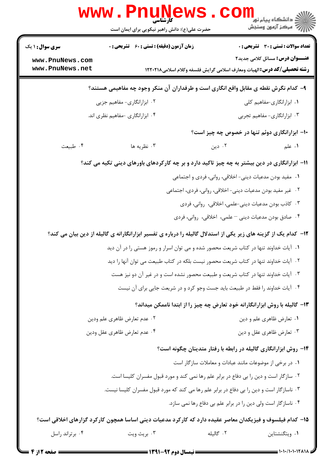|                                    | حضرت علی(ع): دانش راهبر نیکویی برای ایمان است                                                                   |        | الاد دانشگاه پيام نو <mark>.</mark><br>الاد مرکز آزمون وسنجش                                                               |
|------------------------------------|-----------------------------------------------------------------------------------------------------------------|--------|----------------------------------------------------------------------------------------------------------------------------|
| <b>سری سوال : ۱ یک</b>             | زمان آزمون (دقیقه) : تستی : 60 ٪ تشریحی : 0                                                                     |        | <b>تعداد سوالات : تستی : 30 ٪ تشریحی : 0</b>                                                                               |
| www.PnuNews.com<br>www.PnuNews.net |                                                                                                                 |        | <b>عنـــوان درس:</b> مسائل کلامی جدید۲<br><b>رشته تحصیلی/کد درس: ا</b> لهیات ومعارف اسلامی گرایش فلسفه وکلام اسلامی۱۲۲۰۲۱۸ |
|                                    | ۹– کدام نگرش نقطه ی مقابل واقع انگاری است و طرفداران آن منکر وجود چه مفاهیمی هستند؟                             |        |                                                                                                                            |
|                                    | ۰۲ ابزارانگاری- مفاهیم جزیی                                                                                     |        | ۰۱ ابزارانگاری-مفاهیم کلی                                                                                                  |
|                                    | ۰۴ ابزارانگاری -مفاهیم نظری اند.                                                                                |        | ۰۳ ابزارانگاری- مفاهیم تجربی                                                                                               |
|                                    |                                                                                                                 |        | ۱۰– ابزارانگاری دوئم تنها در خصوص چه چیز است؟                                                                              |
| ۰۴ طبیعت                           | ۰۳ نظریه ها                                                                                                     | ۰۲ دین | <b>۱.</b> علم                                                                                                              |
|                                    | 11- ابزارانگاری در دین بیشتر به چه چیز تاکید دارد و بر چه کارکردهای باورهای دینی تکیه می کند؟                   |        |                                                                                                                            |
|                                    |                                                                                                                 |        | ١.  مفيد بودن مدعيات ديني- اخلاقي، رواني، فردي و اجتماعي                                                                   |
|                                    |                                                                                                                 |        | ۰۲ غیر مفید بودن مدعیات دینی- اخلاقی، روانی، فردی، اجتماعی                                                                 |
|                                    |                                                                                                                 |        | ۰۳ کاذب بودن مدعیات دینی-علمی، اخلاقی، روانی، فردی                                                                         |
|                                    |                                                                                                                 |        | ۰۴ صادق بودن مدعیات دینی – علمی، اخلاقی، روانی، فردی                                                                       |
|                                    | ۱۲- کدام یک از گزینه های زیر یکی از استدلال گالیله را درباره ی تفسیر ابزارانگارانه ی گالیله از دین بیان می کند؟ |        |                                                                                                                            |
|                                    | ۰۱ آیات خداوند تنها در کتاب شریعت محصور شده و می توان اسرار و رموز هستی را در آن دید                            |        |                                                                                                                            |
|                                    | ۰۲ آیات خداوند تنها در کتاب شریعت محصور نیست بلکه در کتاب طبیعت می توان آنها را دید                             |        |                                                                                                                            |
|                                    | ۰۳ آیات خداوند تنها در کتاب شریعت و طبیعت محصور نشده است و در غیر آن دو نیز هست                                 |        |                                                                                                                            |
|                                    | ۰۴ آیات خداوند را فقط در طبیعت باید جست وجو کرد و در شریعت جایی برای آن نیست                                    |        |                                                                                                                            |
|                                    | ۱۳- گالیله با روش ابزارانگارانه خود تعارض چه چیز را از ابتدا ناممکن میداند؟                                     |        |                                                                                                                            |
|                                    | ۰۲ عدم تعارض ظاهري علم ودين                                                                                     |        | ۰۱ تعارض ظاهري علم و دين                                                                                                   |
|                                    | ۰۴ عدم تعارض ظاهري عقل ودين                                                                                     |        | ۰۳ تعارض ظاهري عقل و دين                                                                                                   |
|                                    |                                                                                                                 |        | ۱۴– روش ابزارانگاری گالیله در رابطه با رفتار متدینان چگونه است؟                                                            |
|                                    |                                                                                                                 |        | ۰۱ در برخی از موضوعات مانند عبادات و معاملات سازگار است                                                                    |
|                                    | ۰۲ سازگار است و دین را بی دفاع در برابر علم رها نمی کند و مورد قبول مفسران کلیسا است.                           |        |                                                                                                                            |
|                                    | ۰۳ ناسازگار است و دین را بی دفاع در برابر علم رها می کند که مورد قبول مفسران کلیسا نیست.                        |        |                                                                                                                            |
|                                    |                                                                                                                 |        | ۰۴ ناسازگار است ولی دین را در برابر علم بی دفاع رها نمی سازد.                                                              |
|                                    | ۱۵– کدام فیلسوف و فیزیکدان معاصر عقیده دارد که کارکرد مدعیات دینی اساسا همچون کارکرد گزارهای اخلاقی است؟        |        |                                                                                                                            |
|                                    |                                                                                                                 |        |                                                                                                                            |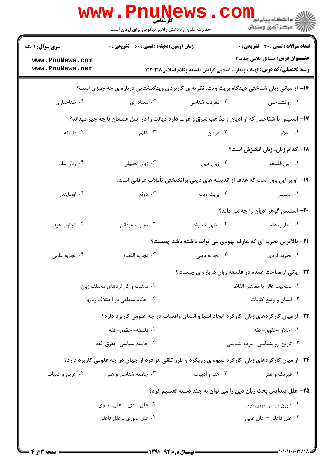|                                                                                            | <b>کارشناسی</b><br>حضرت علی(ع): دانش راهبر نیکویی برای ایمان است |                                | ر دانشگاه پيام نور <mark>−</mark><br>ار∕* مرکز آزمون وسنجش                                                                 |  |  |
|--------------------------------------------------------------------------------------------|------------------------------------------------------------------|--------------------------------|----------------------------------------------------------------------------------------------------------------------------|--|--|
| <b>سری سوال : ۱ یک</b>                                                                     | <b>زمان آزمون (دقیقه) : تستی : 60 ٪ تشریحی : 0</b>               |                                | تعداد سوالات : تستي : 30 ٪ تشريحي : 0                                                                                      |  |  |
| www.PnuNews.com<br>www.PnuNews.net                                                         |                                                                  |                                | <b>عنـــوان درس:</b> مسائل کلامی جدید۲<br><b>رشته تحصیلی/کد درس: ا</b> لهیات ومعارف اسلامی گرایش فلسفه وکلام اسلامی1۲۲۰۲۱۸ |  |  |
| ۱۶- از مبانی زبان شناختی دیدگاه بریث ویت، نظریه ی کاربردی ویتگنشتاین درباره ی چه چیزی است؟ |                                                                  |                                |                                                                                                                            |  |  |
| ۰۴ شناختاری                                                                                | ۰۳ معناداري                                                      | ۰۲ معرفت شناسي                 | ۰۱ روانشناختی                                                                                                              |  |  |
|                                                                                            |                                                                  |                                | ۱۷- استیس با شناختی که از ادیان و مذاهب شرق و غرب دارد دیانت را در اصل همسان با چه چیز میداند؟                             |  |  |
| ۰۴ فلسفه                                                                                   | ۰۳ کلام                                                          | ۰۲ عرفان                       | ٠١. اسلام                                                                                                                  |  |  |
|                                                                                            |                                                                  |                                | 1۸– کدام زبان، زبان انگیزش است؟                                                                                            |  |  |
| ۰۴ زبان علم                                                                                | ۰۳ زبان تحلیلی                                                   | ۰۲ زبان دین                    | ۰۱ زبان فلسفه                                                                                                              |  |  |
|                                                                                            |                                                                  |                                | ۱۹– او بر این باور است که هدف از اندیشه های دینی برانگیختن تأملات عرفانی است.                                              |  |  |
| ۰۴ اوسايندر                                                                                | ۰۳ دوئم                                                          | ۰۲ بريث ويت                    | ۰۱ استیس                                                                                                                   |  |  |
|                                                                                            |                                                                  |                                | <b>۰۲</b> - استیس گوهر ادیان را چه می داند؟                                                                                |  |  |
| ۰۴ تجارب عيني                                                                              | ۰۳ تجارب عرفاني                                                  | ۰۲ مظهر خداوند                 | ۰۱ تجارب علمی                                                                                                              |  |  |
|                                                                                            |                                                                  |                                | <b>۲۱</b> - بالاترین تجربه ای که عارف یهودی می تواند داشته باشد چیست؟                                                      |  |  |
| ۰۴ تجربه علمی                                                                              | ٠٣ تجربه التصاق                                                  | ۰۲ تجربه دینی                  | ۰۱ تجربه فردي                                                                                                              |  |  |
|                                                                                            |                                                                  |                                | <b>۲۲</b> - یکی از مباحث عمده در فلسفه زبان درباره ی چیست؟                                                                 |  |  |
|                                                                                            | ۰۲ ماهیت و کارکردهای مختلف زبان                                  | ٠١. سنخيت عالم با مفاهيم الفاظ |                                                                                                                            |  |  |
|                                                                                            | ۰۴ احکام منطقی در اختلاف زبانها                                  | ۰۳ انسان و وضع کلمات           |                                                                                                                            |  |  |
|                                                                                            |                                                                  |                                | ۲۳- از میان کارکردهای زبان، کارکرد ایجاد اشیا و انشای واقعیات در چه علومی کاربرد دارد؟                                     |  |  |
|                                                                                            | ٠٢ فلسفه- حقوق- فقه                                              | ۰۱ اخلاق-حقوق- فقه             |                                                                                                                            |  |  |
|                                                                                            | ۰۴ جامعه شناسي-حقوق-فقه                                          |                                | ۰۳ تاریخ-روانشناسی- مردم شناسی                                                                                             |  |  |
|                                                                                            |                                                                  |                                | ۲۴- از میان کارکردهای زبان، کارکرد شیوه ی رویکرد و طرز تلقی هر فرد از جهان در چه علومی کاربرد دارد؟                        |  |  |
| ۰۴ عربي و ادبيات                                                                           | ۰۳ جامعه شناسی و هنر                                             | ۰۲ هنر و ادبیات                | ۰۱ فیزیک و هنر                                                                                                             |  |  |
|                                                                                            |                                                                  |                                | ۲۵– علل پیدایش بحث زبان دین را می توان به چند دسته تقسیم کرد؟                                                              |  |  |
|                                                                                            | ۰۲ علل مادی – علل معنوی                                          |                                | ۰۱ درون دینی- برون دینی                                                                                                    |  |  |
|                                                                                            | ۰۴ علل صوری ــ علل فاعلی                                         |                                | ۰۳ علل فاعلى – علل غايي                                                                                                    |  |  |
|                                                                                            |                                                                  |                                |                                                                                                                            |  |  |